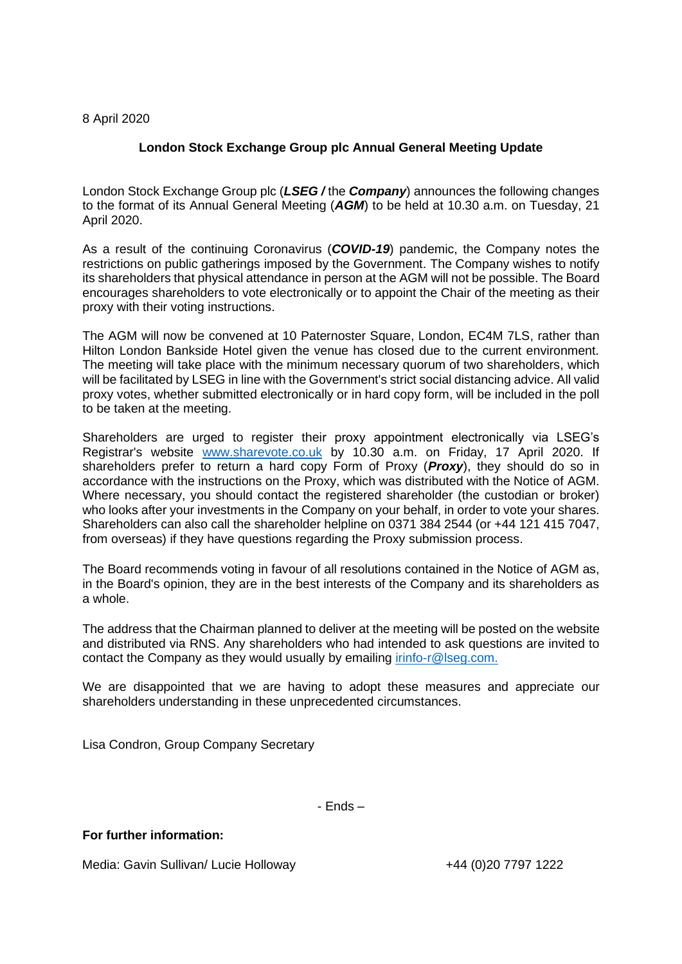## 8 April 2020

## **London Stock Exchange Group plc Annual General Meeting Update**

London Stock Exchange Group plc (*LSEG /* the *Company*) announces the following changes to the format of its Annual General Meeting (*AGM*) to be held at 10.30 a.m. on Tuesday, 21 April 2020.

As a result of the continuing Coronavirus (*COVID-19*) pandemic, the Company notes the restrictions on public gatherings imposed by the Government. The Company wishes to notify its shareholders that physical attendance in person at the AGM will not be possible. The Board encourages shareholders to vote electronically or to appoint the Chair of the meeting as their proxy with their voting instructions.

The AGM will now be convened at 10 Paternoster Square, London, EC4M 7LS, rather than Hilton London Bankside Hotel given the venue has closed due to the current environment. The meeting will take place with the minimum necessary quorum of two shareholders, which will be facilitated by LSEG in line with the Government's strict social distancing advice. All valid proxy votes, whether submitted electronically or in hard copy form, will be included in the poll to be taken at the meeting.

Shareholders are urged to register their proxy appointment electronically via LSEG's Registrar's website [www.sharevote.co.uk](http://www.sharevote.co.uk/) by 10.30 a.m. on Friday, 17 April 2020. If shareholders prefer to return a hard copy Form of Proxy (*Proxy*), they should do so in accordance with the instructions on the Proxy, which was distributed with the Notice of AGM. Where necessary, you should contact the registered shareholder (the custodian or broker) who looks after your investments in the Company on your behalf, in order to vote your shares. Shareholders can also call the shareholder helpline on 0371 384 2544 (or +44 121 415 7047, from overseas) if they have questions regarding the Proxy submission process.

The Board recommends voting in favour of all resolutions contained in the Notice of AGM as, in the Board's opinion, they are in the best interests of the Company and its shareholders as a whole.

The address that the Chairman planned to deliver at the meeting will be posted on the website and distributed via RNS. Any shareholders who had intended to ask questions are invited to contact the Company as they would usually by emailing [irinfo-r@lseg.com.](mailto:irinfo-r@lseg.com)

We are disappointed that we are having to adopt these measures and appreciate our shareholders understanding in these unprecedented circumstances.

Lisa Condron, Group Company Secretary

- Ends –

## **For further information:**

Media: Gavin Sullivan/ Lucie Holloway  $+44$  (0)20 7797 1222